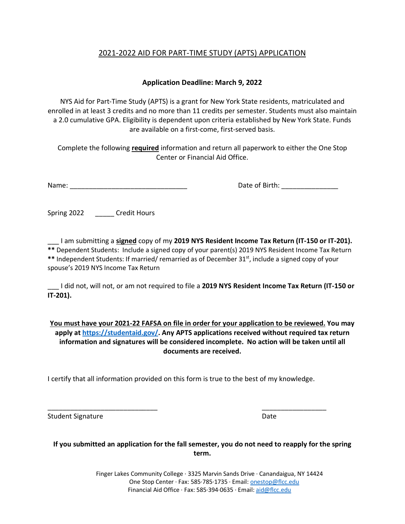# 2021-2022 AID FOR PART-TIME STUDY (APTS) APPLICATION

## **Application Deadline: March 9, 2022**

NYS Aid for Part-Time Study (APTS) is a grant for New York State residents, matriculated and enrolled in at least 3 credits and no more than 11 credits per semester. Students must also maintain a 2.0 cumulative GPA. Eligibility is dependent upon criteria established by New York State. Funds are available on a first-come, first-served basis.

Complete the following **required** information and return all paperwork to either the One Stop Center or Financial Aid Office.

Name: \_\_\_\_\_\_\_\_\_\_\_\_\_\_\_\_\_\_\_\_\_\_\_\_\_\_\_\_\_\_\_ Date of Birth: \_\_\_\_\_\_\_\_\_\_\_\_\_\_\_

Spring 2022 \_\_\_\_\_\_\_ Credit Hours

\_\_\_ I am submitting a **signed** copy of my **2019 NYS Resident Income Tax Return (IT-150 or IT-201). \*\*** Dependent Students: Include a signed copy of your parent(s) 2019 NYS Resident Income Tax Return \*\* Independent Students: If married/ remarried as of December 31<sup>st</sup>, include a signed copy of your

spouse's 2019 NYS Income Tax Return

\_\_\_ I did not, will not, or am not required to file a **2019 NYS Resident Income Tax Return (IT-150 or IT-201).**

**You must have your 2021-22 FAFSA on file in order for your application to be reviewed. You may apply a[t https://studentaid.gov/.](https://studentaid.gov/) Any APTS applications received without required tax return information and signatures will be considered incomplete. No action will be taken until all documents are received.** 

I certify that all information provided on this form is true to the best of my knowledge.

\_\_\_\_\_\_\_\_\_\_\_\_\_\_\_\_\_\_\_\_\_\_\_\_\_\_\_\_\_ \_\_\_\_\_\_\_\_\_\_\_\_\_\_\_\_\_

Student Signature Date

**If you submitted an application for the fall semester, you do not need to reapply for the spring term.**

> Finger Lakes Community College ∙ 3325 Marvin Sands Drive ∙ Canandaigua, NY 14424 One Stop Center ∙ Fax: 585∙785∙1735 ∙ Email[: onestop@flcc.edu](mailto:onestop@flcc.edu) Financial Aid Office ∙ Fax: 585∙394∙0635 ∙ Email[: aid@flcc.edu](mailto:aid@flcc.edu)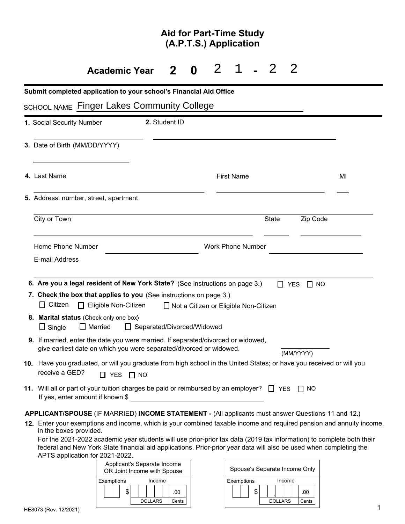# **Aid for Part-Time Study (A.P.T.S.) Application**

#### **Academic Year 2 0 2 1**  $-2$  2

| Submit completed application to your school's Financial Aid Office<br><b>SCHOOL NAME Finger Lakes Community College</b>                                                                                                                              |                              |                                                         |                         |
|------------------------------------------------------------------------------------------------------------------------------------------------------------------------------------------------------------------------------------------------------|------------------------------|---------------------------------------------------------|-------------------------|
| 1. Social Security Number                                                                                                                                                                                                                            | 2. Student ID                |                                                         |                         |
| 3. Date of Birth (MM/DD/YYYY)                                                                                                                                                                                                                        |                              |                                                         |                         |
| 4. Last Name                                                                                                                                                                                                                                         |                              | <b>First Name</b>                                       | MI                      |
| 5. Address: number, street, apartment                                                                                                                                                                                                                |                              |                                                         |                         |
| City or Town                                                                                                                                                                                                                                         |                              | <b>State</b>                                            | Zip Code                |
| Home Phone Number<br>E-mail Address                                                                                                                                                                                                                  |                              | <b>Work Phone Number</b>                                |                         |
| 6. Are you a legal resident of New York State? (See instructions on page 3.)<br>7. Check the box that applies to you (See instructions on page 3.)<br>Citizen<br>$\Box$ Eligible Non-Citizen                                                         |                              | $\mathbf{1}$<br>□ Not a Citizen or Eligible Non-Citizen | $\Box$ NO<br><b>YES</b> |
| 8. Marital status (Check only one box)<br>$\Box$ Married<br>$\Box$ Single                                                                                                                                                                            | □ Separated/Divorced/Widowed |                                                         |                         |
| <b>9.</b> If married, enter the date you were married. If separated/divorced or widowed,<br>give earliest date on which you were separated/divorced or widowed.                                                                                      |                              |                                                         | (MM/YYYY)               |
| 10. Have you graduated, or will you graduate from high school in the United States; or have you received or will you<br>receive a GED?<br>$\Box$ YES                                                                                                 | $\Box$ NO                    |                                                         |                         |
| 11. Will all or part of your tuition charges be paid or reimbursed by an employer? $\Box$ YES $\Box$ NO<br>If yes, enter amount if known $\$$                                                                                                        |                              |                                                         |                         |
| APPLICANT/SPOUSE (IF MARRIED) INCOME STATEMENT - (All applicants must answer Questions 11 and 12.)<br>12. Enter your exemptions and income, which is your combined taxable income and required pension and annuity income,<br>in the boxes provided. |                              |                                                         |                         |

For the 2021-2022 academic year students will use prior-prior tax data (2019 tax information) to complete both their federal and New York State financial aid applications. Prior-prior year data will also be used when completing the APTS application for 2021-2022.



| Spouse's Separate Income Only |          |  |       |
|-------------------------------|----------|--|-------|
| Income<br>Exemptions          |          |  |       |
|                               |          |  | .00   |
|                               | DOLI ARS |  | Cents |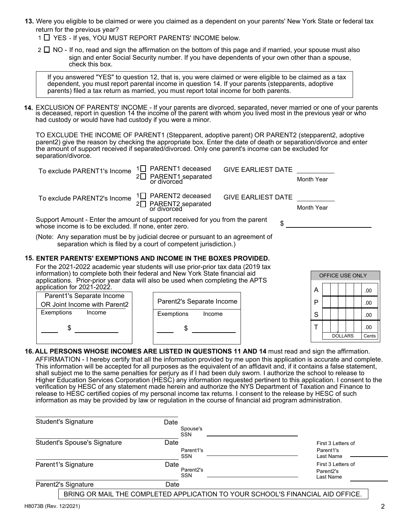- **13.** Were you eligible to be claimed or were you claimed as a dependent on your parents' New York State or federal tax return for the previous year?
	- 1 YES If yes, YOU MUST REPORT PARENTS' INCOME below.
	- $2 \Box$  NO If no, read and sign the affirmation on the bottom of this page and if married, your spouse must also sign and enter Social Security number. If you have dependents of your own other than a spouse, check this box.

If you answered "YES" to question 12, that is, you were claimed or were eligible to be claimed as a tax dependent, you must report parental income in question 14. If your parents (stepparents, adoptive parents) filed a tax return as married, you must report total income for both parents.

**14.** EXCLUSION OF PARENTS' INCOME - If your parents are divorced, separated, never married or one of your parents<br>is deceased, report in question 14 the income of the parent with whom you lived most in the previous year o had custody or would have had custody if you were a minor.

TO EXCLUDE THE INCOME OF PARENT1 (Stepparent, adoptive parent) OR PARENT2 (stepparent2, adoptive parent2) give the reason by checking the appropriate box. Enter the date of death or separation/divorce and enter the amount of support received if separated/divorced. Only one parent's income can be excluded for separation/divorce.

| To exclude PARENT1's Income                                                                                                           | 1 <sup>1</sup> PARENT1 deceased<br>PARENT1 separated<br>or divorced                   | <b>GIVE EARLIEST DATE</b> | Month Year        |  |  |  |  |
|---------------------------------------------------------------------------------------------------------------------------------------|---------------------------------------------------------------------------------------|---------------------------|-------------------|--|--|--|--|
| To exclude PARENT2's Income                                                                                                           | 1 <sup>[1</sup> ] PARENT2 deceased<br>2 <sup>D</sup> PARENT2 separated<br>or divorced | <b>GIVE EARLIEST DATE</b> | <b>Month Year</b> |  |  |  |  |
| Support Amount - Enter the amount of support received for you from the parent<br>whose income is to be excluded. If none, enter zero. |                                                                                       |                           |                   |  |  |  |  |

(Note: Any separation must be by judicial decree or pursuant to an agreement of separation which is filed by a court of competent jurisdiction.)

### **15. ENTER PARENTS' EXEMPTIONS AND INCOME IN THE BOXES PROVIDED.**

For the 2021-2022 academic year students will use prior-prior tax data (2019 tax information) to complete both their federal and New York State financial aid applications. Prior-prior year data will also be used when completing the APTS application for 2021-2022. A

|   | OFFICE USE ONLY |  |  |       |  |     |  |
|---|-----------------|--|--|-------|--|-----|--|
| А |                 |  |  |       |  | .00 |  |
| P |                 |  |  |       |  | .00 |  |
| S |                 |  |  |       |  | .00 |  |
|   |                 |  |  |       |  | .00 |  |
|   | <b>DOLLARS</b>  |  |  | Cents |  |     |  |

- Parent2's Separate Income Exemptions Income \$ Parent1's Separate Income OR Joint Income with Parent2 Exemptions Income | Exemptions Income | S  $\texttt{\$} \texttt{\$} \texttt{\$} \texttt{\$} \texttt{\$} \texttt{\$} \texttt{\$} \texttt{\$} \texttt{\$} \texttt{\$} \texttt{\$} \texttt{\$} \texttt{\$} \texttt{\$} \texttt{\$} \texttt{\$} \texttt{\$} \texttt{\$} \texttt{\$} \texttt{\$} \texttt{\$} \texttt{\$} \texttt{\$} \texttt{\$} \texttt{\$} \texttt{\$} \texttt{\$} \texttt{\$} \texttt{\$} \texttt{\$} \texttt{\$} \texttt{\$} \texttt{\$} \texttt{\$} \texttt{\$} \texttt{\$} \texttt{\$
- **16. ALL PERSONS WHOSE INCOMES ARE LISTED IN QUESTIONS 11 AND 14** must read and sign the affirmation. AFFIRMATION - I hereby certify that all the information provided by me upon this application is accurate and complete. This information will be accepted for all purposes as the equivalent of an affidavit and, if it contains a false statement, shall subject me to the same penalties for perjury as if I had been duly sworn. I authorize the school to release to Higher Education Services Corporation (HESC) any information requested pertinent to this application. I consent to the verification by HESC of any statement made herein and authorize the NYS Department of Taxation and Finance to release to HESC certified copies of my personal income tax returns. I consent to the release by HESC of such information as may be provided by law or regulation in the course of financial aid program administration.

| <b>Student's Signature</b>                                                     |  | Date |                                      |                                    |
|--------------------------------------------------------------------------------|--|------|--------------------------------------|------------------------------------|
|                                                                                |  |      | Spouse's<br><b>SSN</b>               |                                    |
| <b>Student's Spouse's Signature</b>                                            |  | Date |                                      | First 3 Letters of                 |
|                                                                                |  |      | Parent1's                            | Parent1's                          |
|                                                                                |  |      | <b>SSN</b>                           | Last Name                          |
| Parent1's Signature                                                            |  | Date |                                      | First 3 Letters of                 |
|                                                                                |  |      | Parent <sub>2</sub> 's<br><b>SSN</b> | Parent <sub>2's</sub><br>Last Name |
| Parent2's Signature                                                            |  | Date |                                      |                                    |
| BRING OR MAIL THE COMPLETED APPLICATION TO YOUR SCHOOL'S FINANCIAL AID OFFICE. |  |      |                                      |                                    |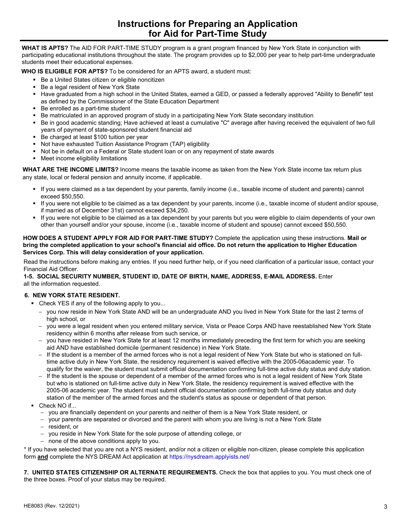**WHAT IS APTS?** The AID FOR PART-TIME STUDY program is a grant program financed by New York State in conjunction with participating educational institutions throughout the state. The program provides up to \$2,000 per year to help part-time undergraduate students meet their educational expenses.

**WHO IS ELIGIBLE FOR APTS?** To be considered for an APTS award, a student must:

- **Be a United States citizen or eligible noncitizen**
- Be a legal resident of New York State
- Have graduated from a high school in the United States, earned a GED, or passed a federally approved "Ability to Benefit" test as defined by the Commissioner of the State Education Department
- Be enrolled as a part-time student
- Be matriculated in an approved program of study in a participating New York State secondary institution
- Be in good academic standing; Have achieved at least a cumulative "C" average after having received the equivalent of two full years of payment of state-sponsored student financial aid
- Be charged at least \$100 tuition per year
- Not have exhausted Tuition Assistance Program (TAP) eligibility
- Not be in default on a Federal or State student loan or on any repayment of state awards
- Meet income eligibility limitations

**WHAT ARE THE INCOME LIMITS?** Income means the taxable income as taken from the New York State income tax return plus any state, local or federal pension and annuity income, if applicable.

- If you were claimed as a tax dependent by your parents, family income (i.e., taxable income of student and parents) cannot exceed \$50,550.
- If you were not eligible to be claimed as a tax dependent by your parents, income (i.e., taxable income of student and/or spouse, if married as of December 31st) cannot exceed \$34,250.
- If you were not eligible to be claimed as a tax dependent by your parents but you were eligible to claim dependents of your own other than yourself and/or your spouse, income (i.e., taxable income of student and spouse) cannot exceed \$50,550.

#### **HOW DOES A STUDENT APPLY FOR AID FOR PART-TIME STUDY?** Complete the application using these instructions. **Mail or bring the completed application to your school's financial aid office. Do not return the application to Higher Education Services Corp. This will delay consideration of your application.**

Read the instructions before making any entries. If you need further help, or if you need clarification of a particular issue, contact your Financial Aid Officer.

#### **1-5. SOCIAL SECURITY NUMBER, STUDENT ID, DATE OF BIRTH, NAME, ADDRESS, E-MAIL ADDRESS.** Enter all the information requested.

#### **6. NEW YORK STATE RESIDENT.**

- Check YES if any of the following apply to you...
	- − you now reside in New York State AND will be an undergraduate AND you lived in New York State for the last 2 terms of high school, or
	- − you were a legal resident when you entered military service, Vista or Peace Corps AND have reestablished New York State residency within 6 months after release from such service, or
	- − you have resided in New York State for at least 12 months immediately preceding the first term for which you are seeking aid AND have established domicile (permanent residence) in New York State.
	- − If the student is a member of the armed forces who is not a legal resident of New York State but who is stationed on fulltime active duty in New York State, the residency requirement is waived effective with the 2005-06academic year. To qualify for the waiver, the student must submit official documentation confirming full-time active duty status and duty station.
	- If the student is the spouse or dependent of a member of the armed forces who is not a legal resident of New York State but who is stationed on full-time active duty in New York State, the residency requirement is waived effective with the 2005-06 academic year. The student must submit official documentation confirming both full-time duty status and duty station of the member of the armed forces and the student's status as spouse or dependent of that person.
- Check NO if...
	- − you are financially dependent on your parents and neither of them is a New York State resident, or
	- − your parents are separated or divorced and the parent with whom you are living is not a New York State
	- − resident, or
	- − you reside in New York State for the sole purpose of attending college, or
	- − none of the above conditions apply to you.

\* If you have selected that you are not a NYS resident, and/or not a citizen or eligible non-citizen, please complete this application form **and** complete the NYS DREAM Act application at https://nysdream.applyists.net/

**7. UNITED STATES CITIZENSHIP OR ALTERNATE REQUIREMENTS.** Check the box that applies to you. You must check one of the three boxes. Proof of your status may be required.